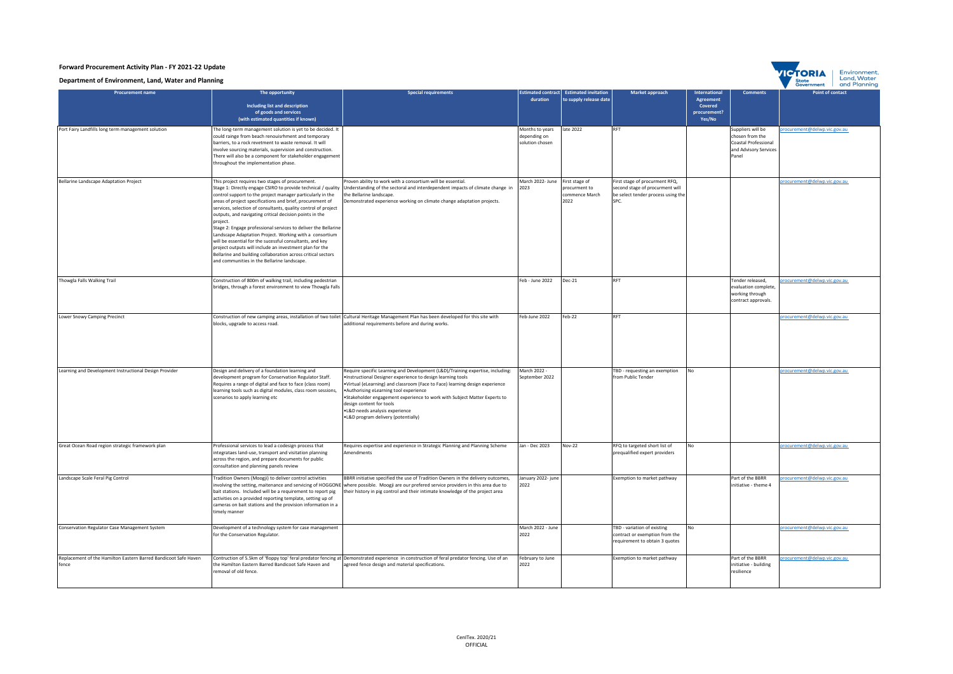| Forward Procurement Activity Plan - FY 2021-22 Update<br>Environmen<br><b>TICTORIA</b><br>Land, Water<br>Department of Environment, Land, Water and Planning |                                                                                                                                                                                                                                                                                                                                                                                                                                                                                                                                                                                                                                                                                                                                                          |                                                                                                                                                                                                                                                                                                                                                                                                                                                     |                                                    |                                                |                                                                                                                 |                                                                |                                                                                                |                                                           |  |
|--------------------------------------------------------------------------------------------------------------------------------------------------------------|----------------------------------------------------------------------------------------------------------------------------------------------------------------------------------------------------------------------------------------------------------------------------------------------------------------------------------------------------------------------------------------------------------------------------------------------------------------------------------------------------------------------------------------------------------------------------------------------------------------------------------------------------------------------------------------------------------------------------------------------------------|-----------------------------------------------------------------------------------------------------------------------------------------------------------------------------------------------------------------------------------------------------------------------------------------------------------------------------------------------------------------------------------------------------------------------------------------------------|----------------------------------------------------|------------------------------------------------|-----------------------------------------------------------------------------------------------------------------|----------------------------------------------------------------|------------------------------------------------------------------------------------------------|-----------------------------------------------------------|--|
| <b>Procurement name</b>                                                                                                                                      | The opportunity<br>Including list and description<br>of goods and services<br>(with estimated quantities if known)                                                                                                                                                                                                                                                                                                                                                                                                                                                                                                                                                                                                                                       | Special requirements                                                                                                                                                                                                                                                                                                                                                                                                                                | nated contrac<br>duration                          | Estimated invitation<br>to supply release date | Market approach                                                                                                 | nternational<br>Agreement<br>Covered<br>procurement?<br>Yes/No | <b>Comments</b>                                                                                | State<br>Govern<br>and Plannin<br><b>Point of contact</b> |  |
| Port Fairy Landfills long term management solution                                                                                                           | he long-term management solution is yet to be decided. It<br>could rainge from beach renouisrhment and temporary<br>parriers, to a rock revetment to waste removal. It will<br>nvolve sourcing materials, supervision and construction.<br>There will also be a component for stakeholder engagement<br>throughout the implementation phase.                                                                                                                                                                                                                                                                                                                                                                                                             |                                                                                                                                                                                                                                                                                                                                                                                                                                                     | Months to years<br>depending on<br>solution chosen | late 2022                                      | RFT                                                                                                             |                                                                | Suppliers will be<br>chosen from the<br>Coastal Professional<br>and Advisory Services<br>Panel | ocurement@delwp.vic.gov.au                                |  |
| Bellarine Landscape Adaptation Project                                                                                                                       | This project requires two stages of procurement.<br>Stage 1: Directly engage CSIRO to provide technical / quality<br>control support to the project manager particularly in the<br>areas of project specifications and brief, procurement of<br>services, selection of consultants, quality control of project<br>outputs, and navigating critical decision points in the<br>project.<br>Stage 2: Engage professional services to deliver the Bellarine<br>Landscape Adaptation Project. Working with a consortium<br>will be essential for the sucessful consultants, and key<br>project outputs will include an investment plan for the<br>Bellarine and building collaboration across critical sectors<br>and communities in the Bellarine landscape. | Proven ability to work with a consortium will be essential.<br>Understanding of the sectoral and interdependent impacts of climate change in<br>the Bellarine landscape.<br>Demonstrated experience working on climate change adaptation projects.                                                                                                                                                                                                  | March 2022- June First stage of<br>2023            | procurment to<br>commence March<br>2022        | First stage of procurment RFQ,<br>second stage of procurment will<br>be select tender process using the<br>SPC. |                                                                |                                                                                                | rocurement@delwp.vic.gov.au                               |  |
| Thowgla Falls Walking Trail                                                                                                                                  | Construction of 800m of walking trail, including pedestrian<br>bridges, through a forest environment to view Thowgla Falls                                                                                                                                                                                                                                                                                                                                                                                                                                                                                                                                                                                                                               |                                                                                                                                                                                                                                                                                                                                                                                                                                                     | Feb - June 2022                                    | Dec-21                                         | <b>RFT</b>                                                                                                      |                                                                | Tender released,<br>evaluation complete,<br>working through<br>contract approvals.             | rocurement@delwp.vic.gov.au                               |  |
| Lower Snowy Camping Precinct                                                                                                                                 | blocks, upgrade to access road.                                                                                                                                                                                                                                                                                                                                                                                                                                                                                                                                                                                                                                                                                                                          | Construction of new camping areas, installation of two toilet Cultural Heritage Management Plan has been developed for this site with<br>additional requirements before and during works.                                                                                                                                                                                                                                                           | Feb-June 2022                                      | Feb-22                                         | RET                                                                                                             |                                                                |                                                                                                | procurement@delwp.vic.gov.au                              |  |
| Learning and Development Instructional Design Provider                                                                                                       | Design and delivery of a foundation learning and<br>development program for Conservation Regulator Staff.<br>Requires a range of digital and face to face (class room)<br>earning tools such as digital modules, class room sessions,<br>scenarios to apply learning etc                                                                                                                                                                                                                                                                                                                                                                                                                                                                                 | Require specific Learning and Development (L&D)/Training expertise, including:<br>Instructional Designer experience to design learning tools<br>Virtual (eLearning) and classroom (Face to Face) learning design experience<br>Authorising eLearning tool experience<br>Stakeholder engagement experience to work with Subject Matter Experts to<br>design content for tools<br>L&D needs analysis experience<br>L&D program delivery (potentially) | March 2022 -<br>September 2022                     |                                                | TBD - requesting an exemption<br>from Public Tender                                                             | No                                                             |                                                                                                | rocurement@delwp.vic.gov.au                               |  |
| Great Ocean Road region strategic framework plan                                                                                                             | Professional services to lead a codesign process that<br>ntegrataes land-use, transport and visitation planning<br>across the region, and prepare documents for public<br>consultation and planning panels review                                                                                                                                                                                                                                                                                                                                                                                                                                                                                                                                        | Requires expertise and experience in Strategic Planning and Planning Scheme<br>Amendments                                                                                                                                                                                                                                                                                                                                                           | Jan - Dec 2023                                     | <b>Nov-22</b>                                  | RFQ to targeted short list of<br>prequalified expert providers                                                  | No                                                             |                                                                                                | procurement@delwp.vic.gov.au                              |  |
| Landscape Scale Feral Pig Control                                                                                                                            | Tradition Owners (Moogji) to deliver control activities<br>nvolving the setting, maitenance and servicing of HOGGONE<br>bait stations. Included will be a requirement to report pig<br>activities on a provided reporting template, setting up of<br>cameras on bait stations and the provision information in a<br>timely manner                                                                                                                                                                                                                                                                                                                                                                                                                        | BBRR initiative specified the use of Tradition Owners in the delivery outcomes,<br>where possible. Moogji are our prefered service providers in this area due to<br>their history in pig control and their intimate knowledge of the project area                                                                                                                                                                                                   | January 2022- june<br>2022                         |                                                | Exemption to market pathway                                                                                     |                                                                | Part of the BBRR<br>initiative - theme 4                                                       | rocurement@delwp.vic.gov.au                               |  |
| Conservation Regulator Case Management System                                                                                                                | Development of a technology system for case management<br>for the Conservation Regulator.                                                                                                                                                                                                                                                                                                                                                                                                                                                                                                                                                                                                                                                                |                                                                                                                                                                                                                                                                                                                                                                                                                                                     | March 2022 - June<br>2022                          |                                                | TBD - variation of existing<br>contract or exemption from the<br>requirement to obtain 3 quotes                 | N٥                                                             |                                                                                                | rocurement@delwp.vic.gov.au                               |  |
| Replacement of the Hamilton Eastern Barred Bandicoot Safe Haven<br>fence                                                                                     | Contruction of 5.5km of 'floppy top' feral predator fencing at<br>he Hamilton Eastern Barred Bandicoot Safe Haven and<br>removal of old fence.                                                                                                                                                                                                                                                                                                                                                                                                                                                                                                                                                                                                           | Demonstrated experience in construction of feral predator fencing. Use of an<br>agreed fence design and material specifications.                                                                                                                                                                                                                                                                                                                    | February to June<br>2022                           |                                                | Exemption to market pathway                                                                                     |                                                                | Part of the BBRR<br>initiative - building<br>resilience                                        | rocurement@delwp.vic.gov.au                               |  |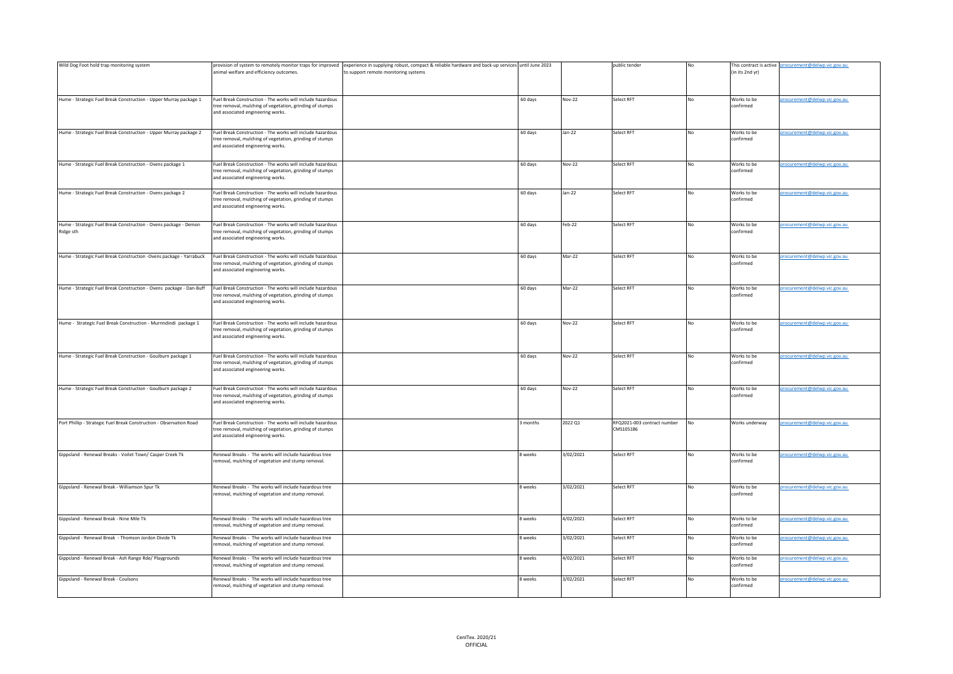| Wild Dog Foot hold trap monitoring system                                     |                                                                                                                                                             | provision of system to remotely monitor traps for improved experience in supplying robust, compact & reliable hardware and back-up services until June 2023 |                |               | public tender                            |           |                          | This contract is active procurement@delwp.vic.gov.au |
|-------------------------------------------------------------------------------|-------------------------------------------------------------------------------------------------------------------------------------------------------------|-------------------------------------------------------------------------------------------------------------------------------------------------------------|----------------|---------------|------------------------------------------|-----------|--------------------------|------------------------------------------------------|
|                                                                               | animal welfare and efficiency outcomes.                                                                                                                     | to support remote monitoring systems                                                                                                                        |                |               |                                          |           | (in its 2nd yr)          |                                                      |
| Hume - Strategic Fuel Break Construction - Upper Murray package 1             | Fuel Break Construction - The works will include hazardous<br>ree removal, mulching of vegetation, grinding of stumps<br>and associated engineering works.  |                                                                                                                                                             | 60 days        | <b>Nov-22</b> | Select RFT                               | No        | Works to be<br>confirmed | procurement@delwp.vic.gov.au                         |
| Hume - Strategic Fuel Break Construction - Upper Murray package 2             | Fuel Break Construction - The works will include hazardous<br>tree removal, mulching of vegetation, grinding of stumps<br>and associated engineering works. |                                                                                                                                                             | 60 days        | $Jan-22$      | Select RFT                               | No        | Works to be<br>confirmed | procurement@delwp.vic.gov.au                         |
| Hume - Strategic Fuel Break Construction - Ovens package 1                    | Fuel Break Construction - The works will include hazardous<br>tree removal, mulching of vegetation, grinding of stumps<br>and associated engineering works. |                                                                                                                                                             | 60 days        | <b>Nov-22</b> | Select RFT                               | No        | Works to be<br>confirmed | procurement@delwp.vic.gov.au                         |
| Hume - Strategic Fuel Break Construction - Ovens package 2                    | Fuel Break Construction - The works will include hazardous<br>tree removal, mulching of vegetation, grinding of stumps<br>and associated engineering works. |                                                                                                                                                             | 60 days        | $Jan-22$      | Select RFT                               | No        | Works to be<br>confirmed | procurement@delwp.vic.gov.au                         |
| Hume - Strategic Fuel Break Construction - Ovens package - Demon<br>Ridge sth | Fuel Break Construction - The works will include hazardous<br>tree removal, mulching of vegetation, grinding of stumps<br>and associated engineering works. |                                                                                                                                                             | 60 days        | Feb-22        | Select RFT                               | No        | Works to be<br>confirmed | procurement@delwp.vic.gov.au                         |
| Hume - Strategic Fuel Break Construction -Ovens package - Yarrabuck           | Fuel Break Construction - The works will include hazardous<br>tree removal, mulching of vegetation, grinding of stumps<br>and associated engineering works. |                                                                                                                                                             | 60 days        | Mar-22        | Select RFT                               | No        | Works to be<br>confirmed | procurement@delwp.vic.gov.au                         |
| Hume - Strategic Fuel Break Construction - Ovens package - Dan-Buff           | Fuel Break Construction - The works will include hazardous<br>tree removal, mulching of vegetation, grinding of stumps<br>and associated engineering works. |                                                                                                                                                             | 60 days        | Mar-22        | Select RFT                               | <b>No</b> | Works to be<br>confirmed | procurement@delwp.vic.gov.au                         |
| Hume - Strategic Fuel Break Construction - Murrindindi package 1              | Fuel Break Construction - The works will include hazardous<br>tree removal, mulching of vegetation, grinding of stumps<br>and associated engineering works. |                                                                                                                                                             | 60 days        | Nov-22        | Select RFT                               | No        | Works to be<br>confirmed | procurement@delwp.vic.gov.au                         |
| Hume - Strategic Fuel Break Construction - Goulburn package 1                 | Fuel Break Construction - The works will include hazardous<br>ree removal, mulching of vegetation, grinding of stumps<br>and associated engineering works.  |                                                                                                                                                             | 60 days        | <b>Nov-22</b> | elect RFT                                | No        | Works to be<br>confirmed | procurement@delwp.vic.gov.au                         |
| Hume - Strategic Fuel Break Construction - Goulburn package 2                 | Fuel Break Construction - The works will include hazardous<br>tree removal, mulching of vegetation, grinding of stumps<br>and associated engineering works. |                                                                                                                                                             | 60 days        | <b>Nov-22</b> | Select RFT                               | No        | Works to be<br>confirmed | procurement@delwp.vic.gov.au                         |
| Port Phillip - Strategic Fuel Break Construction - Observation Road           | Fuel Break Construction - The works will include hazardous<br>tree removal, mulching of vegetation, grinding of stumps<br>and associated engineering works. |                                                                                                                                                             | 3 months       | 2022 Q1       | RFQ2021-003 contract number<br>CMS105186 | <b>No</b> | Works underway           | procurement@delwp.vic.gov.au                         |
| Gippsland - Renewal Breaks - Voilet Town/ Casper Creek Tk                     | Renewal Breaks - The works will include hazardous tree<br>removal, mulching of vegetation and stump removal.                                                |                                                                                                                                                             | 8 weeks        | 3/02/2021     | Select RFT                               | No        | Works to be<br>confirmed | procurement@delwp.vic.gov.au                         |
| Gippsland - Renewal Break - Williamson Spur Tk                                | Renewal Breaks - The works will include hazardous tree<br>removal, mulching of vegetation and stump removal.                                                |                                                                                                                                                             | 8 weeks        | 3/02/2021     | Select RFT                               | No        | Works to be<br>confirmed | procurement@delwp.vic.gov.au                         |
| Gippsland - Renewal Break - Nine Mile Tk                                      | Renewal Breaks - The works will include hazardous tree<br>removal, mulching of vegetation and stump removal.                                                |                                                                                                                                                             | 8 weeks        | 4/02/2021     | Select RFT                               | No        | Works to be<br>confirmed | procurement@delwp.vic.gov.au                         |
| Gippsland - Renewal Break - Thomson Jordon Divide Tk                          | Renewal Breaks - The works will include hazardous tree<br>removal, mulching of vegetation and stump removal.                                                |                                                                                                                                                             | 8 weeks        | 3/02/2021     | Select RFT                               | No        | Works to be<br>confirmed | procurement@delwp.vic.gov.au                         |
| Gippsland - Renewal Break - Ash Range Rde/ Playgrounds                        | tenewal Breaks - The works will include hazardous tree<br>emoval, mulching of vegetation and stump removal.                                                 |                                                                                                                                                             | <b>B</b> weeks | 4/02/2021     | Select RFT                               | No        | Works to be<br>onfirmed  | procurement@delwp.vic.gov.au                         |
| Gippsland - Renewal Break - Coulsons                                          | Renewal Breaks - The works will include hazardous tree<br>removal, mulching of vegetation and stump removal.                                                |                                                                                                                                                             | 8 weeks        | 3/02/2021     | Select RFT                               | No        | Works to be<br>confirmed | procurement@delwp.vic.gov.au                         |
|                                                                               |                                                                                                                                                             |                                                                                                                                                             |                |               |                                          |           |                          |                                                      |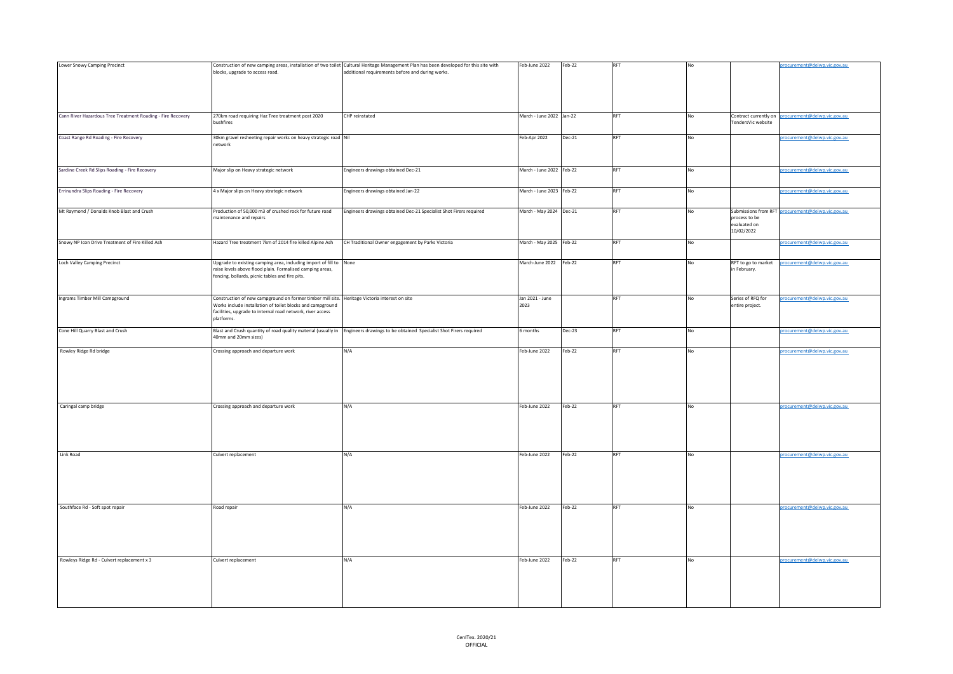| Lower Snowy Camping Precinct                                |                                                                                                              | Construction of new camping areas, installation of two toilet Cultural Heritage Management Plan has been developed for this site with | Feb-June 2022            | Feb-22   |            |    |                                             | procurement@delwp.vic.gov.au                      |
|-------------------------------------------------------------|--------------------------------------------------------------------------------------------------------------|---------------------------------------------------------------------------------------------------------------------------------------|--------------------------|----------|------------|----|---------------------------------------------|---------------------------------------------------|
|                                                             | blocks, upgrade to access road.                                                                              | additional requirements before and during works.                                                                                      |                          |          |            |    |                                             |                                                   |
|                                                             |                                                                                                              |                                                                                                                                       |                          |          |            |    |                                             |                                                   |
|                                                             |                                                                                                              |                                                                                                                                       |                          |          |            |    |                                             |                                                   |
|                                                             |                                                                                                              |                                                                                                                                       |                          |          |            |    |                                             |                                                   |
|                                                             |                                                                                                              |                                                                                                                                       |                          |          |            |    |                                             |                                                   |
|                                                             |                                                                                                              |                                                                                                                                       |                          |          | <b>RFT</b> |    |                                             |                                                   |
| Cann River Hazardous Tree Treatment Roading - Fire Recovery | 270km road requiring Haz Tree treatment post 2020<br>bushfires                                               | CHP reinstated                                                                                                                        | March - June 2022 Jan-22 |          |            | No | Contract currently on<br>FendersVic website | procurement@delwp.vic.gov.au                      |
|                                                             |                                                                                                              |                                                                                                                                       |                          |          |            |    |                                             |                                                   |
| Coast Range Rd Roading - Fire Recovery                      | 30km gravel resheeting repair works on heavy strategic road Nil                                              |                                                                                                                                       | Feb-Apr 2022             | $Dec-21$ | RFT        | No |                                             | procurement@delwp.vic.gov.au                      |
|                                                             | network                                                                                                      |                                                                                                                                       |                          |          |            |    |                                             |                                                   |
|                                                             |                                                                                                              |                                                                                                                                       |                          |          |            |    |                                             |                                                   |
|                                                             |                                                                                                              |                                                                                                                                       |                          |          |            |    |                                             |                                                   |
| Sardine Creek Rd Slips Roading - Fire Recovery              | Major slip on Heavy strategic network                                                                        | Engineers drawings obtained Dec-21                                                                                                    | March - June 2022 Feb-22 |          | RFT        | No |                                             | procurement@delwp.vic.gov.au                      |
|                                                             |                                                                                                              |                                                                                                                                       |                          |          |            |    |                                             |                                                   |
|                                                             |                                                                                                              |                                                                                                                                       |                          |          |            |    |                                             |                                                   |
| Errinundra Slips Roading - Fire Recovery                    | 4 x Major slips on Heavy strategic network                                                                   | Engineers drawings obtained Jan-22                                                                                                    | March - June 2023 Feb-22 |          | RFT        | No |                                             | rocurement@delwp.vic.gov.au                       |
|                                                             |                                                                                                              |                                                                                                                                       |                          |          |            |    |                                             |                                                   |
| Mt Raymond / Donalds Knob Blast and Crush                   | Production of 50,000 m3 of crushed rock for future road                                                      | Engineers drawings obtained Dec-21 Specialist Shot Firers required                                                                    | March - May 2024 Dec-21  |          | <b>RFT</b> | No |                                             | Submissions from RFT procurement@delwp.vic.gov.au |
|                                                             | maintenance and repairs                                                                                      |                                                                                                                                       |                          |          |            |    | process to be                               |                                                   |
|                                                             |                                                                                                              |                                                                                                                                       |                          |          |            |    | evaluated on                                |                                                   |
|                                                             |                                                                                                              |                                                                                                                                       |                          |          |            |    | 10/02/2022                                  |                                                   |
| Snowy NP Icon Drive Treatment of Fire Killed Ash            | Hazard Tree treatment 7km of 2014 fire killed Alpine Ash                                                     | CH Traditional Owner engagement by Parks Victoria                                                                                     | March - May 2025 Feb-22  |          | RFT        | No |                                             | procurement@delwp.vic.gov.au                      |
|                                                             |                                                                                                              |                                                                                                                                       |                          |          |            |    |                                             |                                                   |
|                                                             |                                                                                                              |                                                                                                                                       |                          |          |            |    |                                             |                                                   |
| Loch Valley Camping Precinct                                | Upgrade to existing camping area, including import of fill to None                                           |                                                                                                                                       | March-June 2022 Feb-22   |          | RFT        | No | RFT to go to market                         | procurement@delwp.vic.gov.au                      |
|                                                             | raise levels above flood plain. Formalised camping areas,<br>fencing, bollards, picnic tables and fire pits. |                                                                                                                                       |                          |          |            |    | in February.                                |                                                   |
|                                                             |                                                                                                              |                                                                                                                                       |                          |          |            |    |                                             |                                                   |
|                                                             |                                                                                                              |                                                                                                                                       |                          |          |            |    |                                             |                                                   |
| Ingrams Timber Mill Campground                              | Construction of new campground on former timber mill site. Heritage Victoria interest on site                |                                                                                                                                       | Jan 2021 - June          |          | <b>RFT</b> | No | Series of RFQ for                           | procurement@delwp.vic.gov.au                      |
|                                                             | Works include installation of toilet blocks and campground                                                   |                                                                                                                                       | 2023                     |          |            |    | entire project.                             |                                                   |
|                                                             | facilities, upgrade to internal road network, river access                                                   |                                                                                                                                       |                          |          |            |    |                                             |                                                   |
|                                                             | platforms.                                                                                                   |                                                                                                                                       |                          |          |            |    |                                             |                                                   |
| Cone Hill Quarry Blast and Crush                            |                                                                                                              | Blast and Crush quantity of road quality material (usually in Engineers drawings to be obtained Specialist Shot Firers required       | 6 months                 | Dec-23   | RFT        | No |                                             | procurement@delwp.vic.gov.au                      |
|                                                             | 40mm and 20mm sizes)                                                                                         |                                                                                                                                       |                          |          |            |    |                                             |                                                   |
|                                                             |                                                                                                              |                                                                                                                                       |                          |          |            |    |                                             |                                                   |
| Rowley Ridge Rd bridge                                      | Crossing approach and departure work                                                                         | N/A                                                                                                                                   | Feb-June 2022            | $Feb-22$ | <b>RFT</b> | No |                                             | rocurement@delwp.vic.gov.au                       |
|                                                             |                                                                                                              |                                                                                                                                       |                          |          |            |    |                                             |                                                   |
|                                                             |                                                                                                              |                                                                                                                                       |                          |          |            |    |                                             |                                                   |
|                                                             |                                                                                                              |                                                                                                                                       |                          |          |            |    |                                             |                                                   |
|                                                             |                                                                                                              |                                                                                                                                       |                          |          |            |    |                                             |                                                   |
|                                                             |                                                                                                              |                                                                                                                                       |                          |          |            |    |                                             |                                                   |
|                                                             |                                                                                                              |                                                                                                                                       |                          |          |            |    |                                             |                                                   |
| Caringal camp bridge                                        | Crossing approach and departure work                                                                         | N/A                                                                                                                                   | Feb-June 2022            | Feb-22   | RFT        | No |                                             | procurement@delwp.vic.gov.au                      |
|                                                             |                                                                                                              |                                                                                                                                       |                          |          |            |    |                                             |                                                   |
|                                                             |                                                                                                              |                                                                                                                                       |                          |          |            |    |                                             |                                                   |
|                                                             |                                                                                                              |                                                                                                                                       |                          |          |            |    |                                             |                                                   |
|                                                             |                                                                                                              |                                                                                                                                       |                          |          |            |    |                                             |                                                   |
|                                                             |                                                                                                              |                                                                                                                                       |                          |          |            |    |                                             |                                                   |
| Link Road                                                   | Culvert replacement                                                                                          | N/A                                                                                                                                   | Feb-June 2022            | $Feb-22$ | RFT        | No |                                             | procurement@delwp.vic.gov.au                      |
|                                                             |                                                                                                              |                                                                                                                                       |                          |          |            |    |                                             |                                                   |
|                                                             |                                                                                                              |                                                                                                                                       |                          |          |            |    |                                             |                                                   |
|                                                             |                                                                                                              |                                                                                                                                       |                          |          |            |    |                                             |                                                   |
|                                                             |                                                                                                              |                                                                                                                                       |                          |          |            |    |                                             |                                                   |
|                                                             |                                                                                                              |                                                                                                                                       |                          |          |            |    |                                             |                                                   |
| Southface Rd - Soft spot repair                             | Road repair                                                                                                  | N/A                                                                                                                                   | Feb-June 2022            | Feb-22   | <b>RFT</b> | No |                                             | procurement@delwp.vic.gov.au                      |
|                                                             |                                                                                                              |                                                                                                                                       |                          |          |            |    |                                             |                                                   |
|                                                             |                                                                                                              |                                                                                                                                       |                          |          |            |    |                                             |                                                   |
|                                                             |                                                                                                              |                                                                                                                                       |                          |          |            |    |                                             |                                                   |
|                                                             |                                                                                                              |                                                                                                                                       |                          |          |            |    |                                             |                                                   |
|                                                             |                                                                                                              |                                                                                                                                       |                          |          |            |    |                                             |                                                   |
|                                                             |                                                                                                              |                                                                                                                                       |                          |          |            |    |                                             |                                                   |
| Rowleys Ridge Rd - Culvert replacement x 3                  | Culvert replacement                                                                                          | N/A                                                                                                                                   | Feb-June 2022            | Feb-22   | <b>RFT</b> | No |                                             | procurement@delwp.vic.gov.au                      |
|                                                             |                                                                                                              |                                                                                                                                       |                          |          |            |    |                                             |                                                   |
|                                                             |                                                                                                              |                                                                                                                                       |                          |          |            |    |                                             |                                                   |
|                                                             |                                                                                                              |                                                                                                                                       |                          |          |            |    |                                             |                                                   |
|                                                             |                                                                                                              |                                                                                                                                       |                          |          |            |    |                                             |                                                   |
|                                                             |                                                                                                              |                                                                                                                                       |                          |          |            |    |                                             |                                                   |
|                                                             |                                                                                                              |                                                                                                                                       |                          |          |            |    |                                             |                                                   |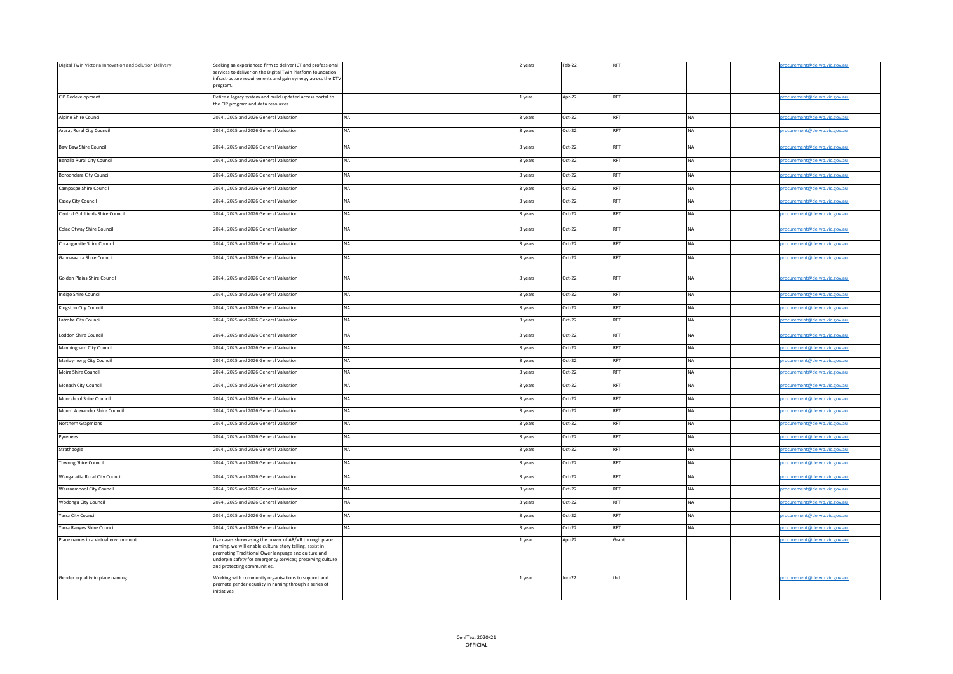| Digital Twin Victoria Innovation and Solution Delivery | Seeking an experienced firm to deliver ICT and professional                                                       |           | 2 years | Feb-22   | <b>RFT</b> |           | rocurement@delwp.vic.gov.au |
|--------------------------------------------------------|-------------------------------------------------------------------------------------------------------------------|-----------|---------|----------|------------|-----------|-----------------------------|
|                                                        | services to deliver on the Digital Twin Platform foundation                                                       |           |         |          |            |           |                             |
|                                                        | infrastructure requirements and gain synergy across the DTV                                                       |           |         |          |            |           |                             |
|                                                        | program.                                                                                                          |           |         |          |            |           |                             |
| CIP Redevelopment                                      | Retire a legacy system and build updated access portal to                                                         |           | 1 year  | Apr-22   | <b>RFT</b> |           | rocurement@delwp.vic.gov.au |
|                                                        | the CIP program and data resources.                                                                               |           |         |          |            |           |                             |
| Alpine Shire Council                                   | 2024., 2025 and 2026 General Valuation                                                                            | <b>NA</b> | 3 years | $Oct-22$ | <b>RFT</b> | <b>NA</b> | rocurement@delwp.vic.gov.au |
|                                                        |                                                                                                                   |           |         |          |            |           |                             |
| Ararat Rural City Council                              | 2024., 2025 and 2026 General Valuation                                                                            | <b>NA</b> | 3 years | $Oct-22$ | <b>RFT</b> | NA        | rocurement@delwp.vic.gov.au |
| <b>Baw Baw Shire Council</b>                           | 2024., 2025 and 2026 General Valuation                                                                            | NA        | 3 years | $Oct-22$ | RFT        | <b>NA</b> |                             |
|                                                        |                                                                                                                   |           |         |          |            |           | rocurement@delwp.vic.gov.au |
| Benalla Rural City Council                             | 2024., 2025 and 2026 General Valuation                                                                            | <b>NA</b> | 3 years | $Oct-22$ | <b>RFT</b> | NA        | rocurement@delwp.vic.gov.au |
|                                                        |                                                                                                                   |           |         |          |            |           |                             |
| Boroondara City Council                                | 2024., 2025 and 2026 General Valuation                                                                            | <b>NA</b> | 3 years | $Oct-22$ | <b>RFT</b> | <b>NA</b> | rocurement@delwp.vic.gov.au |
| Campaspe Shire Council                                 | 2024., 2025 and 2026 General Valuation                                                                            | NA        | 3 years | Oct-22   | RFT        | <b>NA</b> | rocurement@delwp.vic.gov.au |
|                                                        |                                                                                                                   |           |         | $Oct-22$ | RFT        |           |                             |
| Casey City Council                                     | 2024., 2025 and 2026 General Valuation                                                                            | NA        | 3 years |          |            | NA        | rocurement@delwp.vic.gov.au |
| Central Goldfields Shire Council                       | 2024., 2025 and 2026 General Valuation                                                                            | <b>NA</b> | 3 years | $Oct-22$ | <b>RFT</b> | <b>NA</b> | rocurement@delwp.vic.gov.au |
|                                                        |                                                                                                                   |           |         |          |            |           |                             |
| Colac Otway Shire Council                              | 2024., 2025 and 2026 General Valuation                                                                            | <b>NA</b> | 3 years | $Oct-22$ | <b>RFT</b> | <b>NA</b> | rocurement@delwp.vic.gov.au |
| Corangamite Shire Council                              | 2024., 2025 and 2026 General Valuation                                                                            | <b>NA</b> | 3 years | $Oct-22$ | <b>RFT</b> | <b>NA</b> | rocurement@delwp.vic.gov.au |
|                                                        |                                                                                                                   |           |         |          |            |           |                             |
| Gannawarra Shire Council                               | 2024., 2025 and 2026 General Valuation                                                                            | <b>NA</b> | 3 years | $Oct-22$ | RFT        | <b>NA</b> | rocurement@delwp.vic.gov.au |
|                                                        |                                                                                                                   |           |         |          |            |           |                             |
| Golden Plains Shire Council                            | 2024., 2025 and 2026 General Valuation                                                                            | <b>NA</b> | 3 years | Oct-22   | <b>RFT</b> | <b>NA</b> | rocurement@delwp.vic.gov.au |
|                                                        |                                                                                                                   |           |         |          |            |           |                             |
| Indigo Shire Council                                   | 2024., 2025 and 2026 General Valuation                                                                            | <b>NA</b> | 3 years | $Oct-22$ | <b>RFT</b> | <b>NA</b> | rocurement@delwp.vic.gov.au |
|                                                        |                                                                                                                   | <b>NA</b> |         |          | <b>RFT</b> |           |                             |
| Kingston City Council                                  | 2024., 2025 and 2026 General Valuation                                                                            |           | 3 years | Oct-22   |            | <b>NA</b> | rocurement@delwp.vic.gov.au |
| Latrobe City Council                                   | 2024., 2025 and 2026 General Valuation                                                                            | <b>NA</b> | 3 years | $Oct-22$ | <b>RFT</b> | NA        | rocurement@delwp.vic.gov.au |
|                                                        |                                                                                                                   |           |         |          | RFT        |           |                             |
| Loddon Shire Council                                   | 2024., 2025 and 2026 General Valuation                                                                            | <b>NA</b> | 3 years | $Oct-22$ |            | <b>NA</b> | rocurement@delwp.vic.gov.au |
| Manningham City Council                                | 2024., 2025 and 2026 General Valuation                                                                            | <b>NA</b> | 3 years | $Oct-22$ | <b>RFT</b> | <b>NA</b> | rocurement@delwp.vic.gov.au |
| Maribyrnong City Council                               | 2024., 2025 and 2026 General Valuation                                                                            | NA        | 3 years | Oct-22   | <b>RFT</b> | NA        | rocurement@delwp.vic.gov.au |
|                                                        |                                                                                                                   |           |         |          |            |           |                             |
| Moira Shire Council                                    | 2024., 2025 and 2026 General Valuation                                                                            | NA        | 3 years | $Oct-22$ | RFT        | NA        | rocurement@delwp.vic.gov.au |
| Monash City Council                                    | 2024., 2025 and 2026 General Valuation                                                                            | <b>NA</b> | 3 years | Oct-22   | <b>RFT</b> | <b>NA</b> | rocurement@delwp.vic.gov.au |
| Moorabool Shire Council                                | 2024., 2025 and 2026 General Valuation                                                                            | <b>NA</b> |         | $Oct-22$ | <b>RFT</b> | <b>NA</b> |                             |
|                                                        |                                                                                                                   |           | 3 years |          |            |           | rocurement@delwp.vic.gov.au |
| Mount Alexander Shire Council                          | 2024., 2025 and 2026 General Valuation                                                                            | NA        | 3 years | Oct-22   | <b>RFT</b> | NA        | rocurement@delwp.vic.gov.au |
| Northern Grapmians                                     | 2024., 2025 and 2026 General Valuation                                                                            | <b>NA</b> | 3 years | Oct-22   | <b>RFT</b> | <b>NA</b> | rocurement@delwp.vic.gov.au |
|                                                        |                                                                                                                   |           |         |          |            |           |                             |
| Pyrenees                                               | 2024., 2025 and 2026 General Valuation                                                                            | <b>NA</b> | 3 years | Oct-22   | RFT        | <b>NA</b> | rocurement@delwp.vic.gov.au |
| Strathbogie                                            | 2024., 2025 and 2026 General Valuation                                                                            | <b>NA</b> | 3 years | $Oct-22$ | <b>RFT</b> | NA        | rocurement@delwp.vic.gov.au |
|                                                        |                                                                                                                   |           |         |          |            |           |                             |
| <b>Towong Shire Council</b>                            | 2024., 2025 and 2026 General Valuation                                                                            | <b>NA</b> | 3 years | $Oct-22$ | <b>RFT</b> | <b>NA</b> | rocurement@delwp.vic.gov.au |
| Wangaratta Rural City Council                          | 2024., 2025 and 2026 General Valuation                                                                            | <b>NA</b> | 3 years | Oct-22   | RFT        | <b>NA</b> | rocurement@delwp.vic.gov.au |
|                                                        |                                                                                                                   |           |         |          |            |           |                             |
| Warrnambool City Council                               | 2024., 2025 and 2026 General Valuation                                                                            | <b>NA</b> | 3 years | $Oct-22$ | RFT        | <b>NA</b> | rocurement@delwp.vic.gov.au |
| Wodonga City Council                                   | 2024., 2025 and 2026 General Valuation                                                                            | <b>NA</b> | 3 years | $Oct-22$ | RFT        | <b>NA</b> | rocurement@delwp.vic.gov.au |
| Yarra City Council                                     | 2024., 2025 and 2026 General Valuation                                                                            | <b>NA</b> | 3 years | $Oct-22$ | <b>RFT</b> | NA        | rocurement@delwp.vic.gov.au |
|                                                        |                                                                                                                   |           |         |          |            |           |                             |
| Yarra Ranges Shire Council                             | 2024., 2025 and 2026 General Valuation                                                                            | <b>NA</b> | 3 years | $Oct-22$ | RFT        | <b>NA</b> | rocurement@delwp.vic.gov.au |
| Place names in a virtual environment                   | Use cases showcasing the power of AR/VR through place                                                             |           | Lyear   | Apr-22   | Grant      |           | rocurement@delwp.vic.gov.au |
|                                                        | naming, we will enable cultural story telling, assist in                                                          |           |         |          |            |           |                             |
|                                                        | promoting Traditional Ower language and culture and<br>underpin safety for emergency services; preserving culture |           |         |          |            |           |                             |
|                                                        | and protecting communities.                                                                                       |           |         |          |            |           |                             |
| Gender equality in place naming                        | Working with community organisations to support and                                                               |           | 1 year  | $Jun-22$ | tbd        |           | rocurement@delwp.vic.gov.au |
|                                                        | promote gender equality in naming through a series of                                                             |           |         |          |            |           |                             |
|                                                        | initiatives                                                                                                       |           |         |          |            |           |                             |
|                                                        |                                                                                                                   |           |         |          |            |           |                             |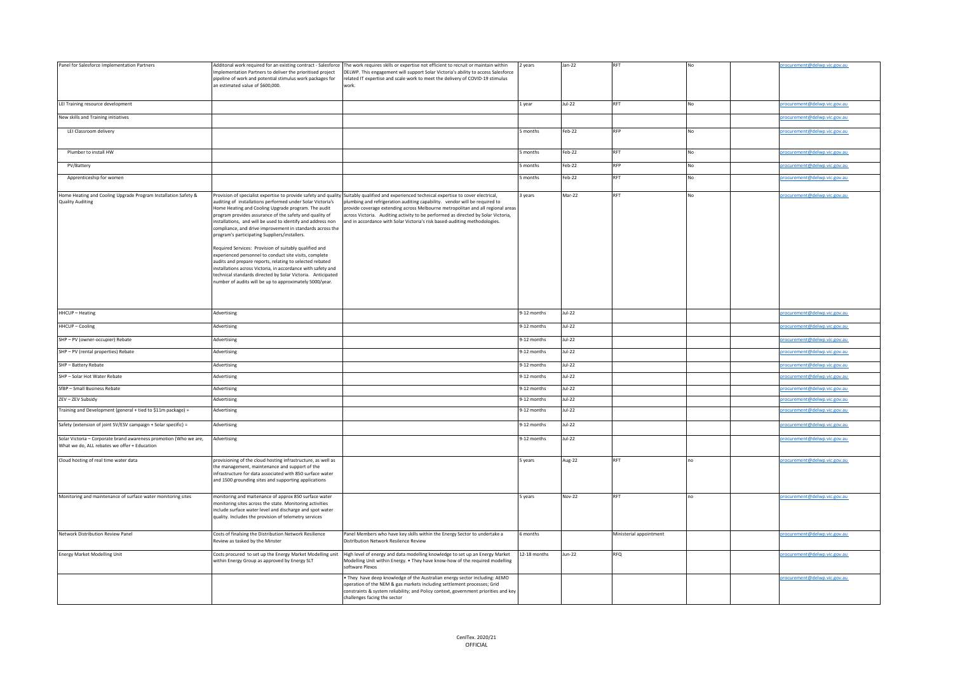| Panel for Salesforce Implementation Partners                                                                      | Implementation Partners to deliver the prioritised project<br>pipeline of work and potential stimulus work packages for<br>an estimated value of \$600,000.                                                                                                                                                                                                                                                                                                                                                                                                                                                                                                                                                                         | Additonal work required for an existing contract - Salesforce The work requires skills or expertise not efficient to recruit or maintain within<br>DELWP. This engagement will support Solar Victoria's ability to access Salesforce<br>related IT expertise and scale work to meet the delivery of COVID-19 stimulus<br>vork.                                                                                                                                                  | 2 years      | Jan-22        |                         |     | rocurement@delwp.vic.gov.au  |
|-------------------------------------------------------------------------------------------------------------------|-------------------------------------------------------------------------------------------------------------------------------------------------------------------------------------------------------------------------------------------------------------------------------------------------------------------------------------------------------------------------------------------------------------------------------------------------------------------------------------------------------------------------------------------------------------------------------------------------------------------------------------------------------------------------------------------------------------------------------------|---------------------------------------------------------------------------------------------------------------------------------------------------------------------------------------------------------------------------------------------------------------------------------------------------------------------------------------------------------------------------------------------------------------------------------------------------------------------------------|--------------|---------------|-------------------------|-----|------------------------------|
| LEI Training resource development                                                                                 |                                                                                                                                                                                                                                                                                                                                                                                                                                                                                                                                                                                                                                                                                                                                     |                                                                                                                                                                                                                                                                                                                                                                                                                                                                                 | 1 year       | $Jul-22$      | RFT                     | No  | rocurement@delwp.vic.gov.au  |
| New skills and Training initiatives                                                                               |                                                                                                                                                                                                                                                                                                                                                                                                                                                                                                                                                                                                                                                                                                                                     |                                                                                                                                                                                                                                                                                                                                                                                                                                                                                 |              |               |                         |     | rocurement@delwp.vic.gov.au  |
| LEI Classroom delivery                                                                                            |                                                                                                                                                                                                                                                                                                                                                                                                                                                                                                                                                                                                                                                                                                                                     |                                                                                                                                                                                                                                                                                                                                                                                                                                                                                 | months       | Feb-22        | <b>RFP</b>              | No  | rocurement@delwp.vic.gov.au  |
| Plumber to install HW                                                                                             |                                                                                                                                                                                                                                                                                                                                                                                                                                                                                                                                                                                                                                                                                                                                     |                                                                                                                                                                                                                                                                                                                                                                                                                                                                                 | 5 months     | Feb-22        | RFT                     | No. | rocurement@delwp.vic.gov.au  |
| PV/Battery                                                                                                        |                                                                                                                                                                                                                                                                                                                                                                                                                                                                                                                                                                                                                                                                                                                                     |                                                                                                                                                                                                                                                                                                                                                                                                                                                                                 | 5 months     | Feb-22        | <b>RFP</b>              | No  | rocurement@delwp.vic.gov.au  |
| Apprenticeship for women                                                                                          |                                                                                                                                                                                                                                                                                                                                                                                                                                                                                                                                                                                                                                                                                                                                     |                                                                                                                                                                                                                                                                                                                                                                                                                                                                                 | months       | Feb-22        | <b>RFT</b>              | No  | rocurement@delwp.vic.gov.au  |
| Home Heating and Cooling Upgrade Program Installation Safety &<br><b>Quality Auditing</b>                         | auditing of installations performed under Solar Victoria's<br>Home Heating and Cooling Upgrade program. The audit<br>program provides assurance of the safety and quality of<br>installations, and will be used to identify and address non<br>compliance, and drive improvement in standards across the<br>program's participating Suppliers/installers.<br>Required Services: Provision of suitably qualified and<br>experienced personnel to conduct site visits, complete<br>audits and prepare reports, relating to selected rebated<br>installations across Victoria, in accordance with safety and<br>technical standards directed by Solar Victoria. Anticipated<br>number of audits will be up to approximately 5000/year. | Provision of specialist expertise to provide safety and quality Suitably qualified and experienced technical expertise to cover electrical,<br>plumbing and refrigeration auditing capability. vendor will be required to<br>provide coverage extending across Melbourne metropolitan and all regional areas<br>across Victoria. Auditing activity to be performed as directed by Solar Victoria,<br>and in accordance with Solar Victoria's risk based-auditing methodologies. | 3 years      | Mar-22        | <b>RFT</b>              | No  | rocurement@delwp.vic.gov.au  |
| HHCUP - Heating                                                                                                   | Advertising                                                                                                                                                                                                                                                                                                                                                                                                                                                                                                                                                                                                                                                                                                                         |                                                                                                                                                                                                                                                                                                                                                                                                                                                                                 | 9-12 months  | Jul-22        |                         |     | procurement@delwp.vic.gov.au |
| HHCUP - Cooling                                                                                                   | Advertising                                                                                                                                                                                                                                                                                                                                                                                                                                                                                                                                                                                                                                                                                                                         |                                                                                                                                                                                                                                                                                                                                                                                                                                                                                 | 9-12 months  | $Jul-22$      |                         |     | rocurement@delwp.vic.gov.au  |
| SHP - PV (owner-occupier) Rebate                                                                                  | Advertising                                                                                                                                                                                                                                                                                                                                                                                                                                                                                                                                                                                                                                                                                                                         |                                                                                                                                                                                                                                                                                                                                                                                                                                                                                 | 9-12 months  | Jul-22        |                         |     | rocurement@delwp.vic.gov.au  |
| SHP - PV (rental properties) Rebate                                                                               | Advertising                                                                                                                                                                                                                                                                                                                                                                                                                                                                                                                                                                                                                                                                                                                         |                                                                                                                                                                                                                                                                                                                                                                                                                                                                                 | 9-12 months  | $Jul-22$      |                         |     | procurement@delwp.vic.gov.au |
| SHP - Battery Rebate                                                                                              | Advertising                                                                                                                                                                                                                                                                                                                                                                                                                                                                                                                                                                                                                                                                                                                         |                                                                                                                                                                                                                                                                                                                                                                                                                                                                                 | 9-12 months  | Jul-22        |                         |     | procurement@delwp.vic.gov.au |
| SHP - Solar Hot Water Rebate                                                                                      | Advertising                                                                                                                                                                                                                                                                                                                                                                                                                                                                                                                                                                                                                                                                                                                         |                                                                                                                                                                                                                                                                                                                                                                                                                                                                                 | 9-12 months  | Jul-22        |                         |     | rocurement@delwp.vic.gov.au  |
| SfBP - Small Business Rebate                                                                                      | Advertising                                                                                                                                                                                                                                                                                                                                                                                                                                                                                                                                                                                                                                                                                                                         |                                                                                                                                                                                                                                                                                                                                                                                                                                                                                 | 9-12 months  | Jul-22        |                         |     | orocurement@delwp.vic.gov.au |
| ZEV - ZEV Subsidy                                                                                                 | Advertising                                                                                                                                                                                                                                                                                                                                                                                                                                                                                                                                                                                                                                                                                                                         |                                                                                                                                                                                                                                                                                                                                                                                                                                                                                 | 9-12 months  | $Jul-22$      |                         |     | procurement@delwp.vic.gov.au |
| Fraining and Development (general + tied to \$11m package) =                                                      | Advertising                                                                                                                                                                                                                                                                                                                                                                                                                                                                                                                                                                                                                                                                                                                         |                                                                                                                                                                                                                                                                                                                                                                                                                                                                                 | 9-12 months  | $Jul-22$      |                         |     | rocurement@delwp.vic.gov.au  |
| Safety (extension of joint SV/ESV campaign + Solar specific) =                                                    | Advertising                                                                                                                                                                                                                                                                                                                                                                                                                                                                                                                                                                                                                                                                                                                         |                                                                                                                                                                                                                                                                                                                                                                                                                                                                                 | 9-12 months  | $Jul-22$      |                         |     | rocurement@delwp.vic.gov.au  |
| Solar Victoria - Corporate brand awareness promotion (Who we are,<br>What we do, ALL rebates we offer + Education | Advertising                                                                                                                                                                                                                                                                                                                                                                                                                                                                                                                                                                                                                                                                                                                         |                                                                                                                                                                                                                                                                                                                                                                                                                                                                                 | 9-12 months  | $Jul-22$      |                         |     | rocurement@delwp.vic.gov.au  |
| Cloud hosting of real time water data                                                                             | provisioning of the cloud hosting infrastructure, as well as<br>the management, maintenance and support of the<br>infrastructure for data associated with 850 surface water<br>and 1500 grounding sites and supporting applications                                                                                                                                                                                                                                                                                                                                                                                                                                                                                                 |                                                                                                                                                                                                                                                                                                                                                                                                                                                                                 | 5 years      | Aug-22        | <b>RFT</b>              | no  | procurement@delwp.vic.gov.au |
| Monitoring and maintenance of surface water monitoring sites                                                      | monitoring and maitenance of approx 850 surface water<br>monitoring sites across the state. Monitoring activities<br>include surface water level and discharge and spot water<br>quality. Includes the provision of telemetry services                                                                                                                                                                                                                                                                                                                                                                                                                                                                                              |                                                                                                                                                                                                                                                                                                                                                                                                                                                                                 | 5 years      | <b>Nov-22</b> | RFT                     | no  | procurement@delwp.vic.gov.au |
| Network Distribution Review Panel                                                                                 | Costs of finalsing the Distribution Network Resilience<br>eview as tasked by the Minster                                                                                                                                                                                                                                                                                                                                                                                                                                                                                                                                                                                                                                            | Panel Members who have key skills within the Energy Sector to undertake a<br>Distribution Network Resilence Review                                                                                                                                                                                                                                                                                                                                                              | 6 months     |               | Ministerial appointment |     | rocurement@delwp.vic.gov.au  |
| <b>Energy Market Modelling Unit</b>                                                                               | Costs procured to set up the Energy Market Modelling unit<br>within Energy Group as approved by Energy SLT                                                                                                                                                                                                                                                                                                                                                                                                                                                                                                                                                                                                                          | High level of energy and data modelling knowledge to set up an Energy Market<br>Modelling Unit within Energy. . They have know-how of the required modelling<br>oftware Plexos                                                                                                                                                                                                                                                                                                  | 12-18 months | Jun-22        | <b>RFQ</b>              |     | rocurement@delwp.vic.gov.au  |
|                                                                                                                   |                                                                                                                                                                                                                                                                                                                                                                                                                                                                                                                                                                                                                                                                                                                                     | They have deep knowledge of the Australian energy sector including: AEMO<br>operation of the NEM & gas markets including settlement processes; Grid<br>constraints & system reliability; and Policy context, government priorities and key<br>challenges facing the sector                                                                                                                                                                                                      |              |               |                         |     | procurement@delwp.vic.gov.au |